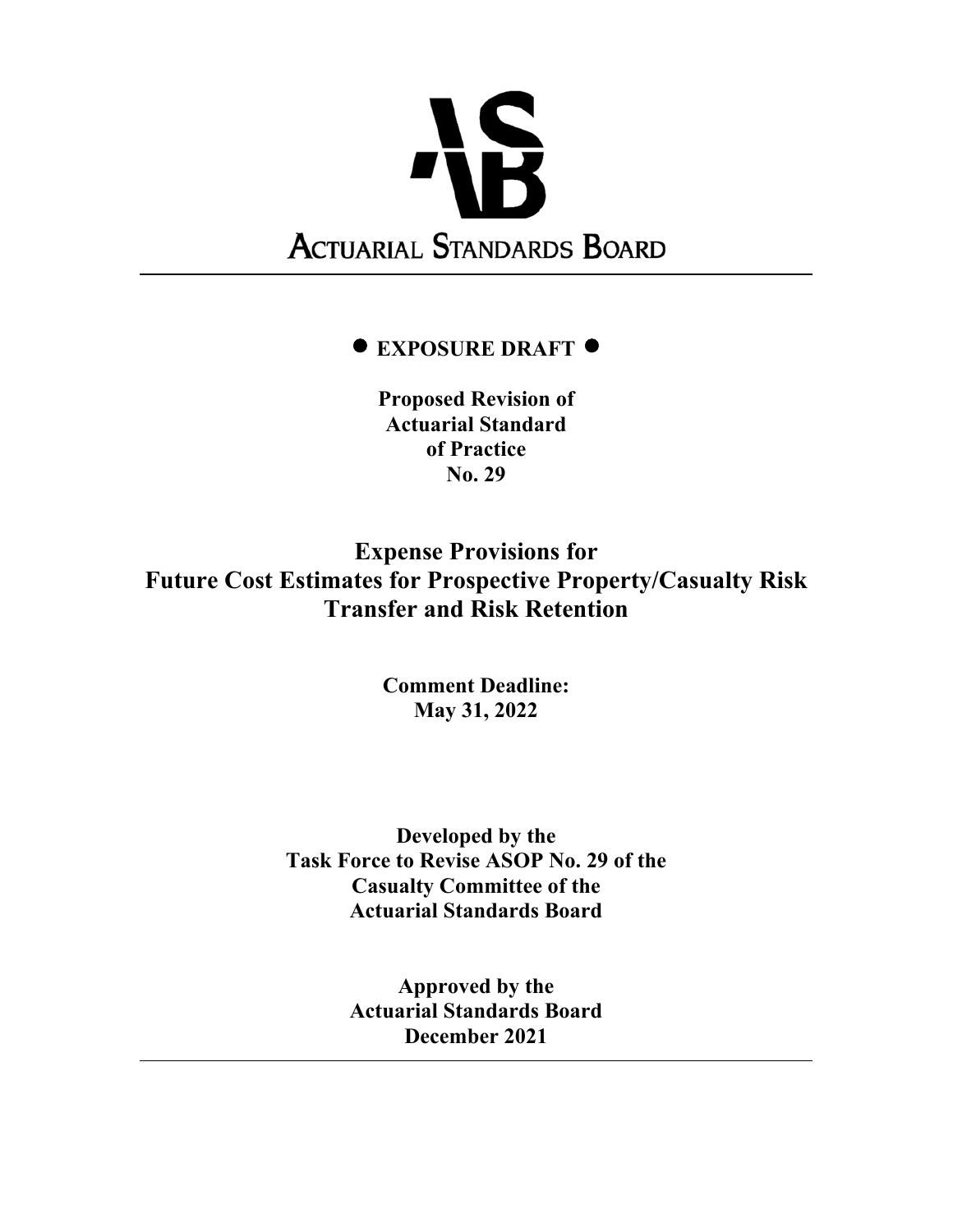

# **EXPOSURE DRAFT**

**Proposed Revision of Actuarial Standard of Practice No. 29** 

**Expense Provisions for Future Cost Estimates for Prospective Property/Casualty Risk Transfer and Risk Retention** 

> **Comment Deadline: May 31, 2022**

**Developed by the Task Force to Revise ASOP No. 29 of the Casualty Committee of the Actuarial Standards Board** 

> **Approved by the Actuarial Standards Board December 2021**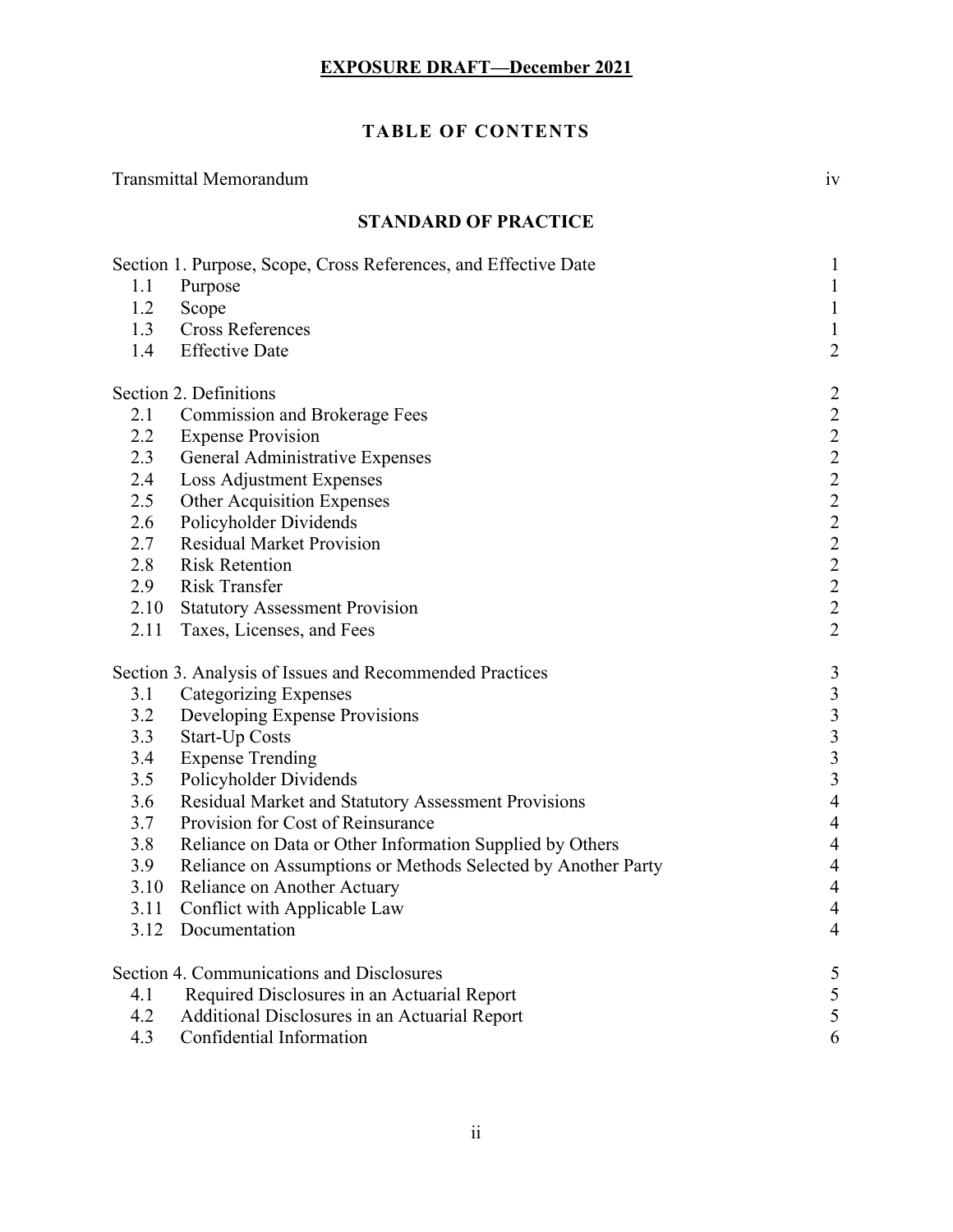# **TABLE OF CONTENTS**

# Transmittal Memorandum iv

# **STANDARD OF PRACTICE**

|               | Section 1. Purpose, Scope, Cross References, and Effective Date | $\mathbf 1$                                     |
|---------------|-----------------------------------------------------------------|-------------------------------------------------|
| 1.1           | Purpose                                                         | $\mathbf{1}$                                    |
| 1.2           | Scope                                                           | $\mathbf{1}$                                    |
| 1.3           | <b>Cross References</b>                                         | $\mathbf{1}$                                    |
| 1.4           | <b>Effective Date</b>                                           | $\overline{c}$                                  |
|               | Section 2. Definitions                                          |                                                 |
| 2.1           | <b>Commission and Brokerage Fees</b>                            | 22222222222                                     |
| $2.2^{\circ}$ | <b>Expense Provision</b>                                        |                                                 |
| 2.3           | General Administrative Expenses                                 |                                                 |
| 2.4           | Loss Adjustment Expenses                                        |                                                 |
| 2.5           | Other Acquisition Expenses                                      |                                                 |
| 2.6           | Policyholder Dividends                                          |                                                 |
| 2.7           | <b>Residual Market Provision</b>                                |                                                 |
| 2.8           | <b>Risk Retention</b>                                           |                                                 |
| 2.9           | <b>Risk Transfer</b>                                            |                                                 |
|               | 2.10 Statutory Assessment Provision                             |                                                 |
|               | 2.11 Taxes, Licenses, and Fees                                  |                                                 |
|               | Section 3. Analysis of Issues and Recommended Practices         | $\overline{\mathbf{3}}$                         |
| 3.1           | <b>Categorizing Expenses</b>                                    |                                                 |
| 3.2           | Developing Expense Provisions                                   | $\begin{array}{c} 3 \\ 3 \\ 3 \\ 3 \end{array}$ |
| 3.3           | <b>Start-Up Costs</b>                                           |                                                 |
| 3.4           | <b>Expense Trending</b>                                         |                                                 |
| 3.5           | Policyholder Dividends                                          |                                                 |
| 3.6           | Residual Market and Statutory Assessment Provisions             | $\overline{4}$                                  |
| 3.7           | Provision for Cost of Reinsurance                               | $\overline{4}$                                  |
| 3.8           | Reliance on Data or Other Information Supplied by Others        | $\overline{4}$                                  |
| 3.9           | Reliance on Assumptions or Methods Selected by Another Party    | $\overline{4}$                                  |
|               | 3.10 Reliance on Another Actuary                                | $\overline{4}$                                  |
| 3.11          | Conflict with Applicable Law                                    | $\overline{4}$                                  |
|               | 3.12 Documentation                                              | $\overline{4}$                                  |
|               | <b>Section 4. Communications and Disclosures</b>                | 5                                               |
| 4.1           | Required Disclosures in an Actuarial Report                     | 5                                               |
| 4.2           | Additional Disclosures in an Actuarial Report                   | 5                                               |
| 4.3           | Confidential Information                                        | 6                                               |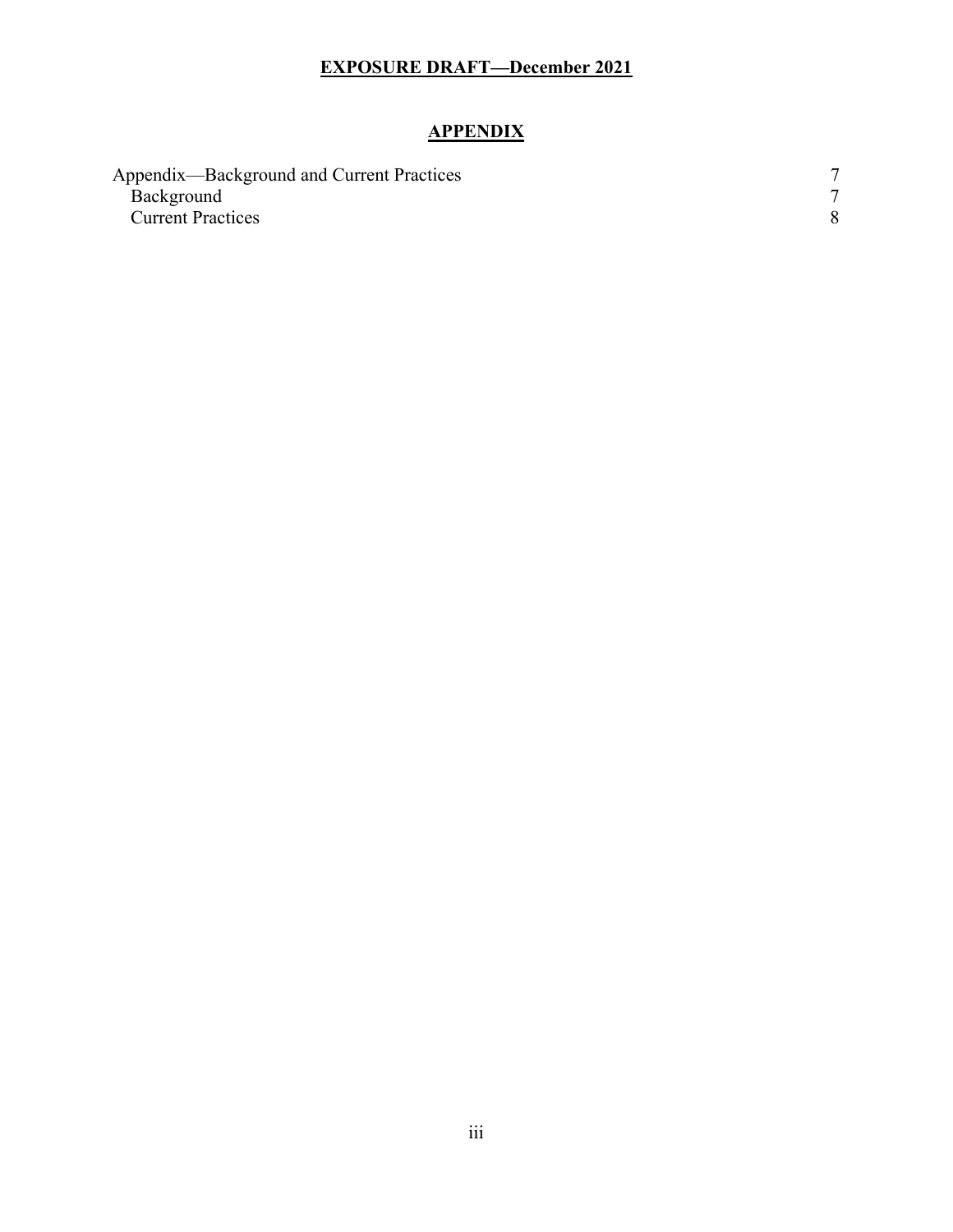# **APPENDIX**

| Appendix—Background and Current Practices |  |
|-------------------------------------------|--|
| Background                                |  |
| <b>Current Practices</b>                  |  |
|                                           |  |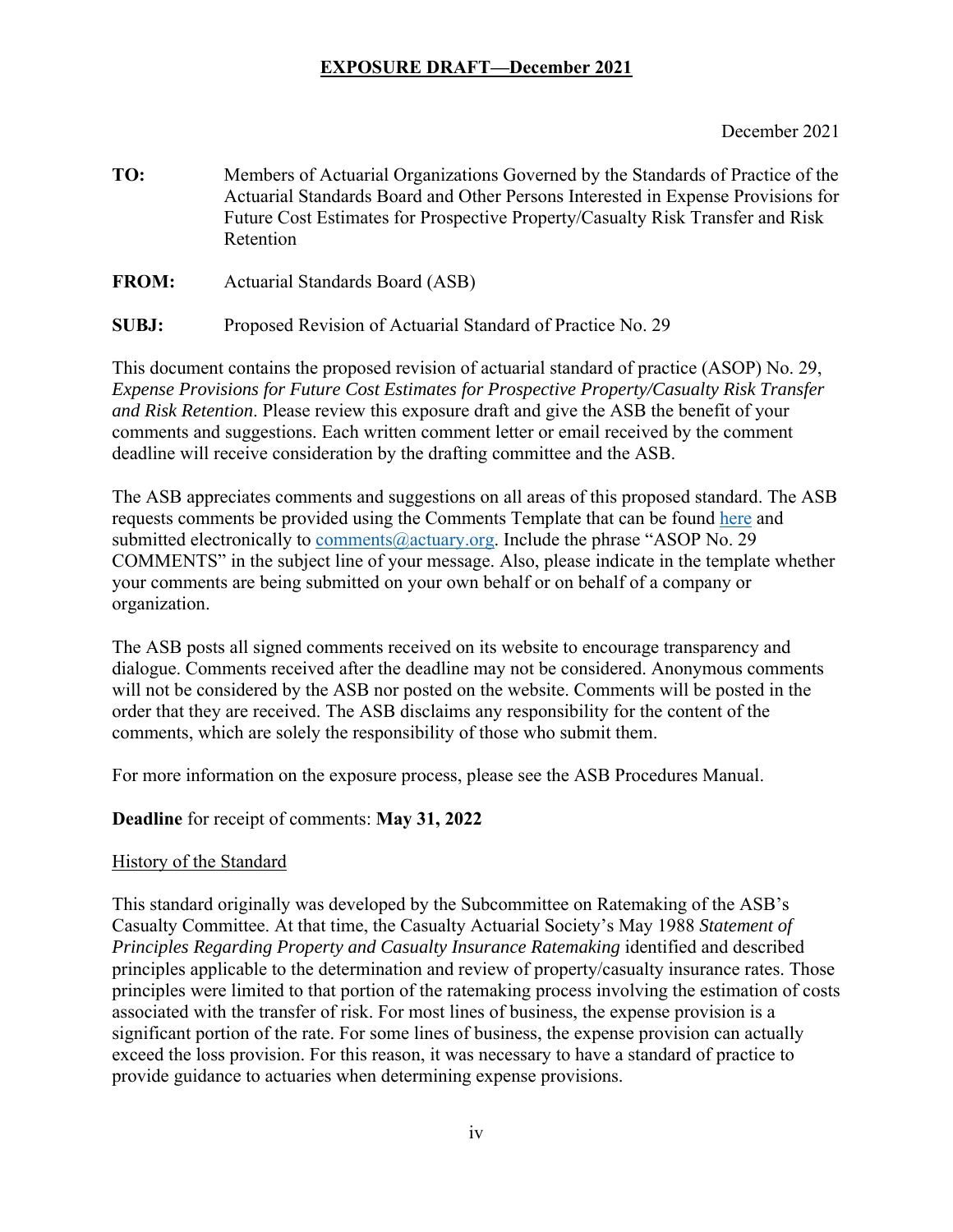December 2021

**TO:** Members of Actuarial Organizations Governed by the Standards of Practice of the Actuarial Standards Board and Other Persons Interested in Expense Provisions for Future Cost Estimates for Prospective Property/Casualty Risk Transfer and Risk Retention

**FROM:** Actuarial Standards Board (ASB)

**SUBJ:** Proposed Revision of Actuarial Standard of Practice No. 29

This document contains the proposed revision of actuarial standard of practice (ASOP) No. 29, *Expense Provisions for Future Cost Estimates for Prospective Property/Casualty Risk Transfer and Risk Retention*. Please review this exposure draft and give the ASB the benefit of your comments and suggestions. Each written comment letter or email received by the comment deadline will receive consideration by the drafting committee and the ASB.

The ASB appreciates comments and suggestions on all areas of this proposed standard. The ASB requests comments be provided using the Comments Template that can be found here and submitted electronically to comments@actuary.org. Include the phrase "ASOP No. 29 COMMENTS" in the subject line of your message. Also, please indicate in the template whether your comments are being submitted on your own behalf or on behalf of a company or organization.

The ASB posts all signed comments received on its website to encourage transparency and dialogue. Comments received after the deadline may not be considered. Anonymous comments will not be considered by the ASB nor posted on the website. Comments will be posted in the order that they are received. The ASB disclaims any responsibility for the content of the comments, which are solely the responsibility of those who submit them.

For more information on the exposure process, please see the ASB Procedures Manual.

#### **Deadline** for receipt of comments: **May 31, 2022**

#### History of the Standard

This standard originally was developed by the Subcommittee on Ratemaking of the ASB's Casualty Committee. At that time, the Casualty Actuarial Society's May 1988 *Statement of Principles Regarding Property and Casualty Insurance Ratemaking* identified and described principles applicable to the determination and review of property/casualty insurance rates. Those principles were limited to that portion of the ratemaking process involving the estimation of costs associated with the transfer of risk. For most lines of business, the expense provision is a significant portion of the rate. For some lines of business, the expense provision can actually exceed the loss provision. For this reason, it was necessary to have a standard of practice to provide guidance to actuaries when determining expense provisions.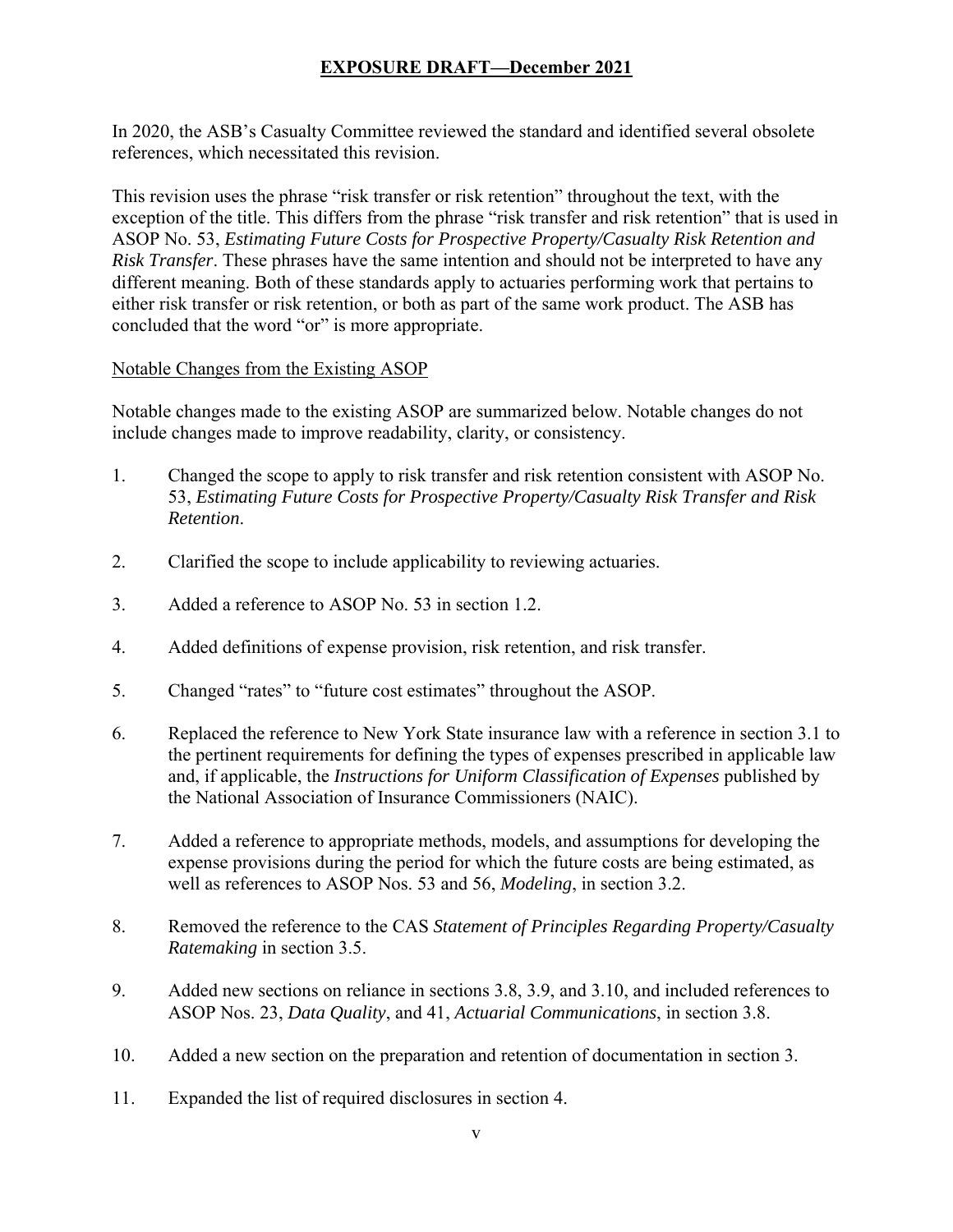In 2020, the ASB's Casualty Committee reviewed the standard and identified several obsolete references, which necessitated this revision.

This revision uses the phrase "risk transfer or risk retention" throughout the text, with the exception of the title. This differs from the phrase "risk transfer and risk retention" that is used in ASOP No. 53, *Estimating Future Costs for Prospective Property/Casualty Risk Retention and Risk Transfer*. These phrases have the same intention and should not be interpreted to have any different meaning. Both of these standards apply to actuaries performing work that pertains to either risk transfer or risk retention, or both as part of the same work product. The ASB has concluded that the word "or" is more appropriate.

#### Notable Changes from the Existing ASOP

Notable changes made to the existing ASOP are summarized below. Notable changes do not include changes made to improve readability, clarity, or consistency.

- 1. Changed the scope to apply to risk transfer and risk retention consistent with ASOP No. 53, *Estimating Future Costs for Prospective Property/Casualty Risk Transfer and Risk Retention*.
- 2. Clarified the scope to include applicability to reviewing actuaries.
- 3. Added a reference to ASOP No. 53 in section 1.2.
- 4. Added definitions of expense provision, risk retention, and risk transfer.
- 5. Changed "rates" to "future cost estimates" throughout the ASOP.
- 6. Replaced the reference to New York State insurance law with a reference in section 3.1 to the pertinent requirements for defining the types of expenses prescribed in applicable law and, if applicable, the *Instructions for Uniform Classification of Expenses* published by the National Association of Insurance Commissioners (NAIC).
- 7. Added a reference to appropriate methods, models, and assumptions for developing the expense provisions during the period for which the future costs are being estimated, as well as references to ASOP Nos. 53 and 56, *Modeling*, in section 3.2.
- 8. Removed the reference to the CAS *Statement of Principles Regarding Property/Casualty Ratemaking* in section 3.5.
- 9. Added new sections on reliance in sections 3.8, 3.9, and 3.10, and included references to ASOP Nos. 23, *Data Quality*, and 41, *Actuarial Communications*, in section 3.8.
- 10. Added a new section on the preparation and retention of documentation in section 3.
- 11. Expanded the list of required disclosures in section 4.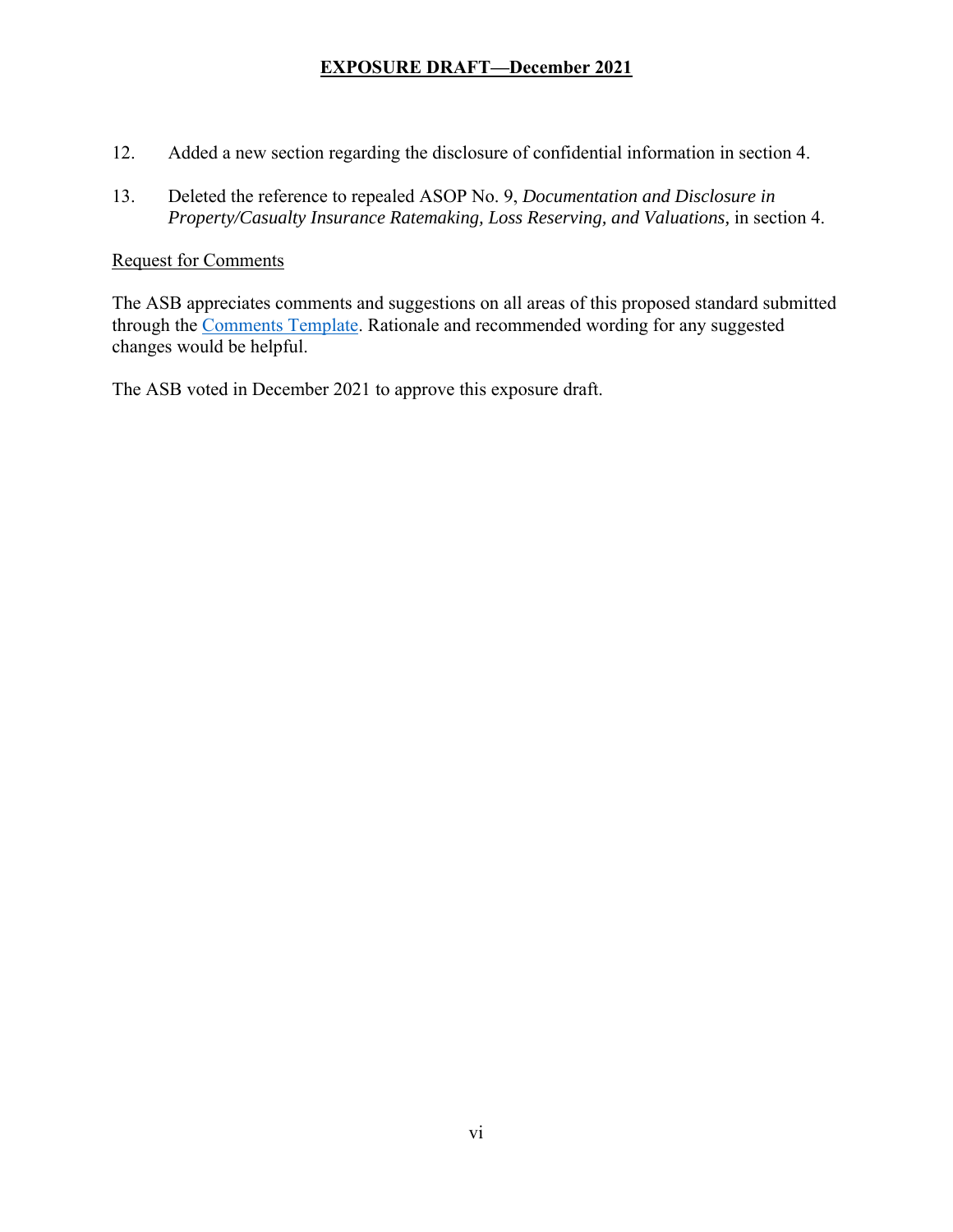- 12. Added a new section regarding the disclosure of confidential information in section 4.
- 13. Deleted the reference to repealed ASOP No. 9, *Documentation and Disclosure in Property/Casualty Insurance Ratemaking, Loss Reserving, and Valuations,* in section 4.

#### Request for Comments

The ASB appreciates comments and suggestions on all areas of this proposed standard submitted through the Comments Template. Rationale and recommended wording for any suggested changes would be helpful.

The ASB voted in December 2021 to approve this exposure draft.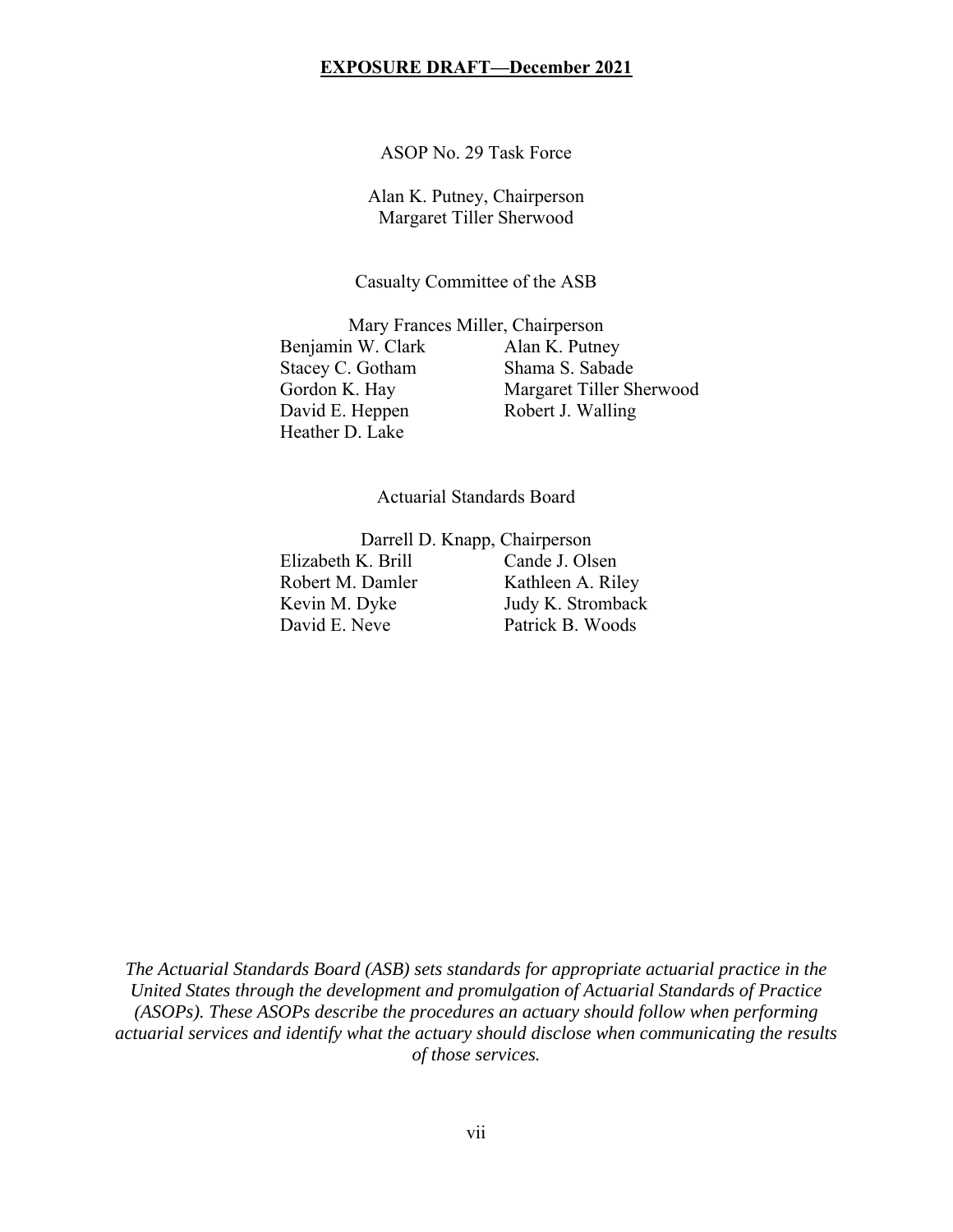ASOP No. 29 Task Force

Alan K. Putney, Chairperson Margaret Tiller Sherwood

Casualty Committee of the ASB

Mary Frances Miller, Chairperson Benjamin W. Clark Alan K. Putney Stacey C. Gotham Shama S. Sabade Gordon K. Hay Margaret Tiller Sherwood David E. Heppen Robert J. Walling Heather D. Lake

Actuarial Standards Board

Darrell D. Knapp, Chairperson Elizabeth K. Brill Cande J. Olsen Robert M. Damler Kathleen A. Riley Kevin M. Dyke Judy K. Stromback David E. Neve Patrick B. Woods

*The Actuarial Standards Board (ASB) sets standards for appropriate actuarial practice in the United States through the development and promulgation of Actuarial Standards of Practice (ASOPs). These ASOPs describe the procedures an actuary should follow when performing actuarial services and identify what the actuary should disclose when communicating the results of those services.*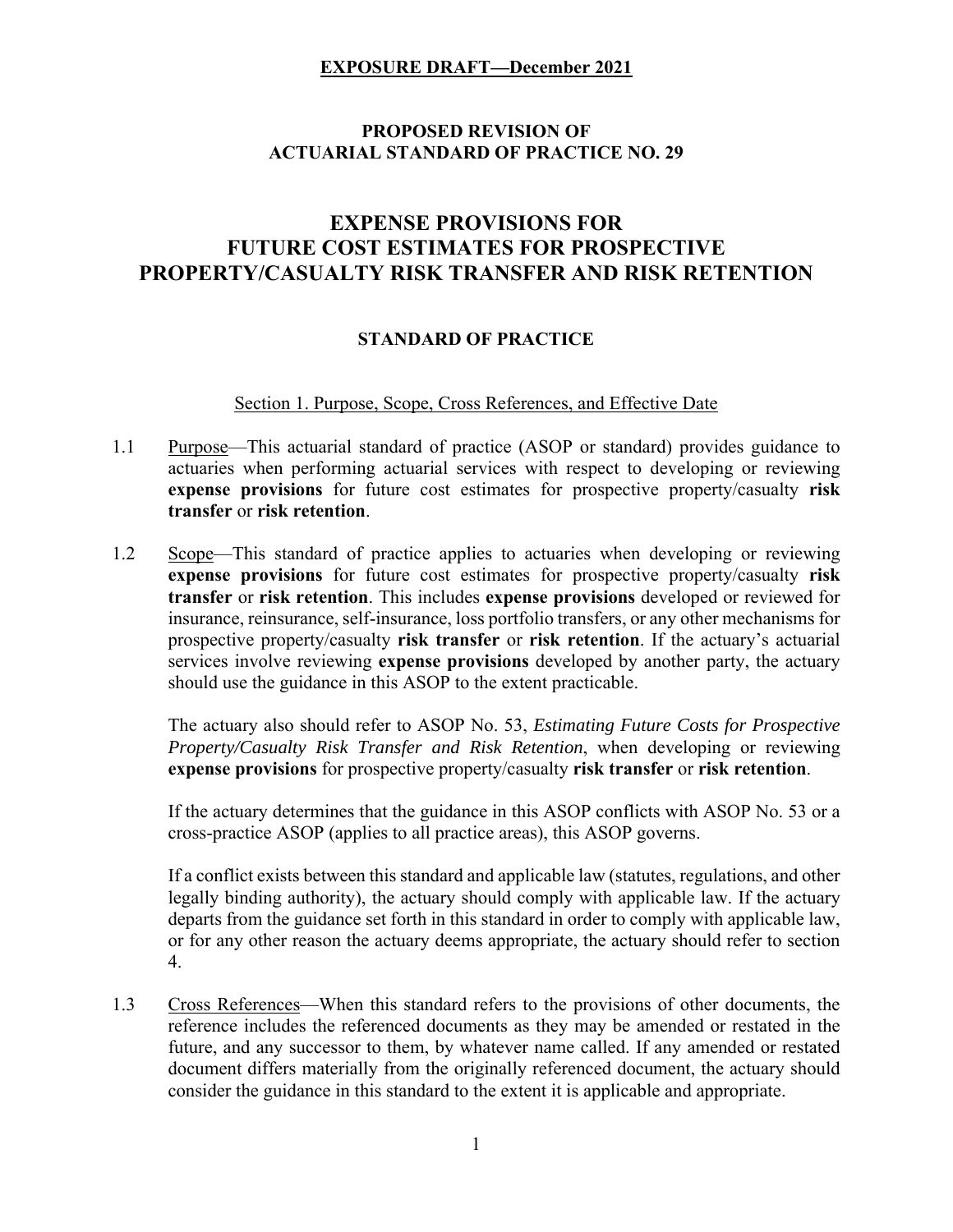# **PROPOSED REVISION OF ACTUARIAL STANDARD OF PRACTICE NO. 29**

# **EXPENSE PROVISIONS FOR FUTURE COST ESTIMATES FOR PROSPECTIVE PROPERTY/CASUALTY RISK TRANSFER AND RISK RETENTION**

#### **STANDARD OF PRACTICE**

Section 1. Purpose, Scope, Cross References, and Effective Date

- 1.1 Purpose—This actuarial standard of practice (ASOP or standard) provides guidance to actuaries when performing actuarial services with respect to developing or reviewing **expense provisions** for future cost estimates for prospective property/casualty **risk transfer** or **risk retention**.
- 1.2 Scope—This standard of practice applies to actuaries when developing or reviewing **expense provisions** for future cost estimates for prospective property/casualty **risk transfer** or **risk retention**. This includes **expense provisions** developed or reviewed for insurance, reinsurance, self-insurance, loss portfolio transfers, or any other mechanisms for prospective property/casualty **risk transfer** or **risk retention**. If the actuary's actuarial services involve reviewing **expense provisions** developed by another party, the actuary should use the guidance in this ASOP to the extent practicable.

The actuary also should refer to ASOP No. 53, *Estimating Future Costs for Prospective Property/Casualty Risk Transfer and Risk Retention*, when developing or reviewing **expense provisions** for prospective property/casualty **risk transfer** or **risk retention**.

If the actuary determines that the guidance in this ASOP conflicts with ASOP No. 53 or a cross-practice ASOP (applies to all practice areas), this ASOP governs.

If a conflict exists between this standard and applicable law (statutes, regulations, and other legally binding authority), the actuary should comply with applicable law. If the actuary departs from the guidance set forth in this standard in order to comply with applicable law, or for any other reason the actuary deems appropriate, the actuary should refer to section 4.

1.3 Cross References—When this standard refers to the provisions of other documents, the reference includes the referenced documents as they may be amended or restated in the future, and any successor to them, by whatever name called. If any amended or restated document differs materially from the originally referenced document, the actuary should consider the guidance in this standard to the extent it is applicable and appropriate.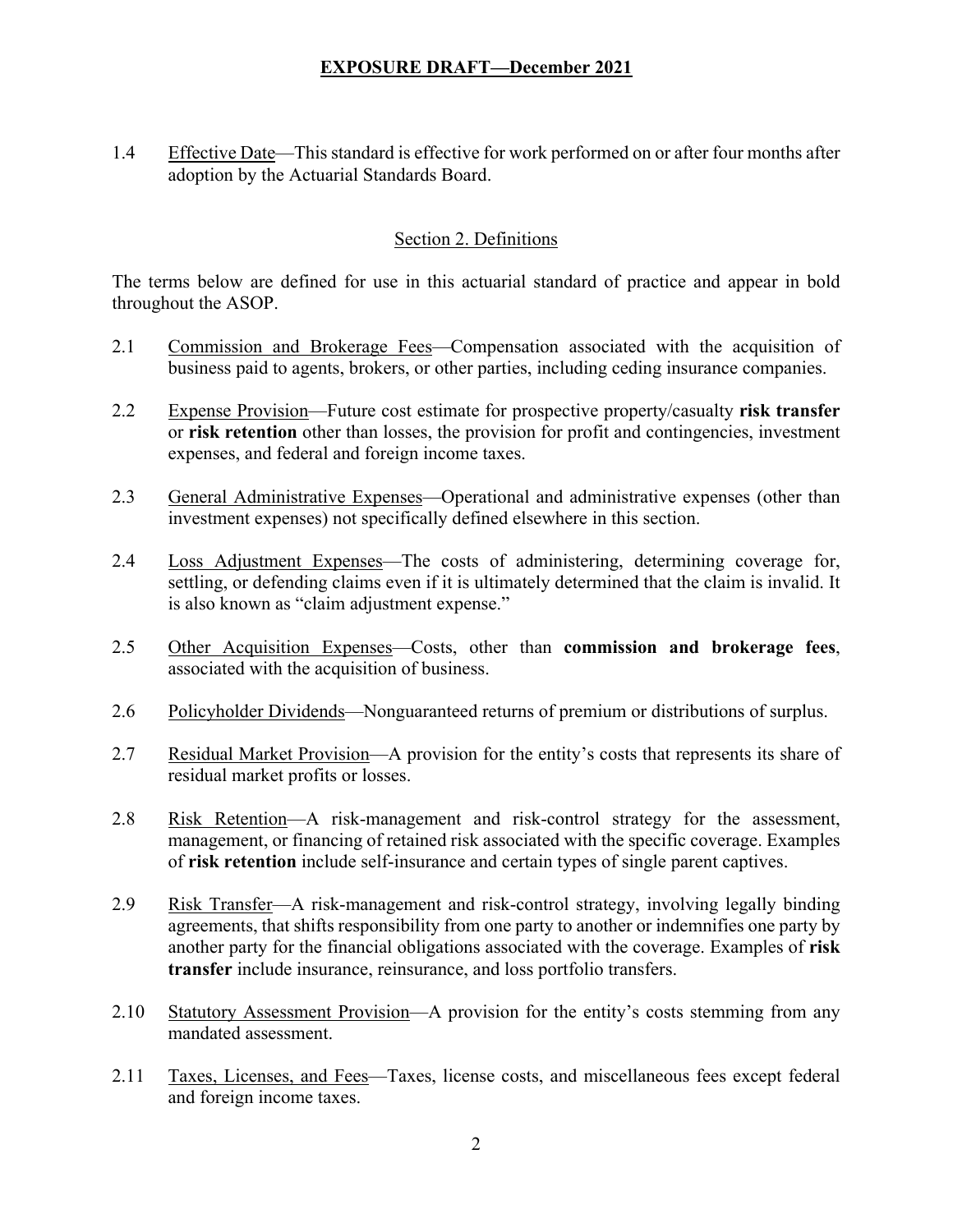1.4 Effective Date—This standard is effective for work performed on or after four months after adoption by the Actuarial Standards Board.

### Section 2. Definitions

The terms below are defined for use in this actuarial standard of practice and appear in bold throughout the ASOP.

- 2.1 Commission and Brokerage Fees—Compensation associated with the acquisition of business paid to agents, brokers, or other parties, including ceding insurance companies.
- 2.2 Expense Provision—Future cost estimate for prospective property/casualty **risk transfer** or **risk retention** other than losses, the provision for profit and contingencies, investment expenses, and federal and foreign income taxes.
- 2.3 General Administrative Expenses—Operational and administrative expenses (other than investment expenses) not specifically defined elsewhere in this section.
- 2.4 Loss Adjustment Expenses—The costs of administering, determining coverage for, settling, or defending claims even if it is ultimately determined that the claim is invalid. It is also known as "claim adjustment expense."
- 2.5 Other Acquisition Expenses—Costs, other than **commission and brokerage fees**, associated with the acquisition of business.
- 2.6 Policyholder Dividends—Nonguaranteed returns of premium or distributions of surplus.
- 2.7 Residual Market Provision—A provision for the entity's costs that represents its share of residual market profits or losses.
- 2.8 Risk Retention—A risk-management and risk-control strategy for the assessment, management, or financing of retained risk associated with the specific coverage. Examples of **risk retention** include self-insurance and certain types of single parent captives.
- 2.9 Risk Transfer—A risk-management and risk-control strategy, involving legally binding agreements, that shifts responsibility from one party to another or indemnifies one party by another party for the financial obligations associated with the coverage. Examples of **risk transfer** include insurance, reinsurance, and loss portfolio transfers.
- 2.10 Statutory Assessment Provision—A provision for the entity's costs stemming from any mandated assessment.
- 2.11 Taxes, Licenses, and Fees—Taxes, license costs, and miscellaneous fees except federal and foreign income taxes.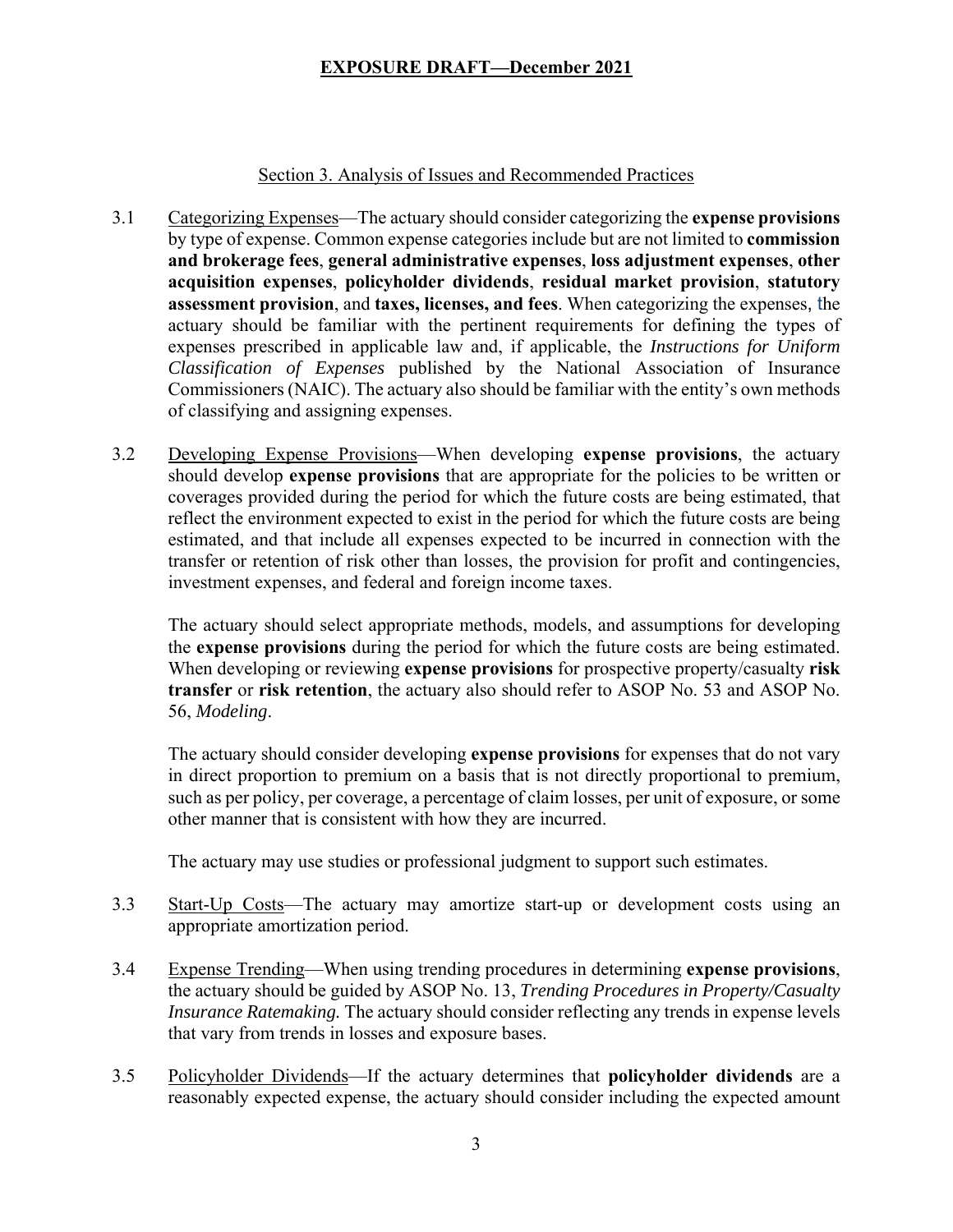#### Section 3. Analysis of Issues and Recommended Practices

- 3.1 Categorizing Expenses—The actuary should consider categorizing the **expense provisions** by type of expense. Common expense categories include but are not limited to **commission and brokerage fees**, **general administrative expenses**, **loss adjustment expenses**, **other acquisition expenses**, **policyholder dividends**, **residual market provision**, **statutory assessment provision**, and **taxes, licenses, and fees**. When categorizing the expenses, the actuary should be familiar with the pertinent requirements for defining the types of expenses prescribed in applicable law and, if applicable, the *Instructions for Uniform Classification of Expenses* published by the National Association of Insurance Commissioners (NAIC). The actuary also should be familiar with the entity's own methods of classifying and assigning expenses.
- 3.2 Developing Expense Provisions—When developing **expense provisions**, the actuary should develop **expense provisions** that are appropriate for the policies to be written or coverages provided during the period for which the future costs are being estimated, that reflect the environment expected to exist in the period for which the future costs are being estimated, and that include all expenses expected to be incurred in connection with the transfer or retention of risk other than losses, the provision for profit and contingencies, investment expenses, and federal and foreign income taxes.

The actuary should select appropriate methods, models, and assumptions for developing the **expense provisions** during the period for which the future costs are being estimated. When developing or reviewing **expense provisions** for prospective property/casualty **risk transfer** or **risk retention**, the actuary also should refer to ASOP No. 53 and ASOP No. 56, *Modeling*.

The actuary should consider developing **expense provisions** for expenses that do not vary in direct proportion to premium on a basis that is not directly proportional to premium, such as per policy, per coverage, a percentage of claim losses, per unit of exposure, or some other manner that is consistent with how they are incurred.

The actuary may use studies or professional judgment to support such estimates.

- 3.3 Start-Up Costs—The actuary may amortize start-up or development costs using an appropriate amortization period.
- 3.4 Expense Trending—When using trending procedures in determining **expense provisions**, the actuary should be guided by ASOP No. 13, *Trending Procedures in Property/Casualty Insurance Ratemaking.* The actuary should consider reflecting any trends in expense levels that vary from trends in losses and exposure bases.
- 3.5 Policyholder Dividends—If the actuary determines that **policyholder dividends** are a reasonably expected expense, the actuary should consider including the expected amount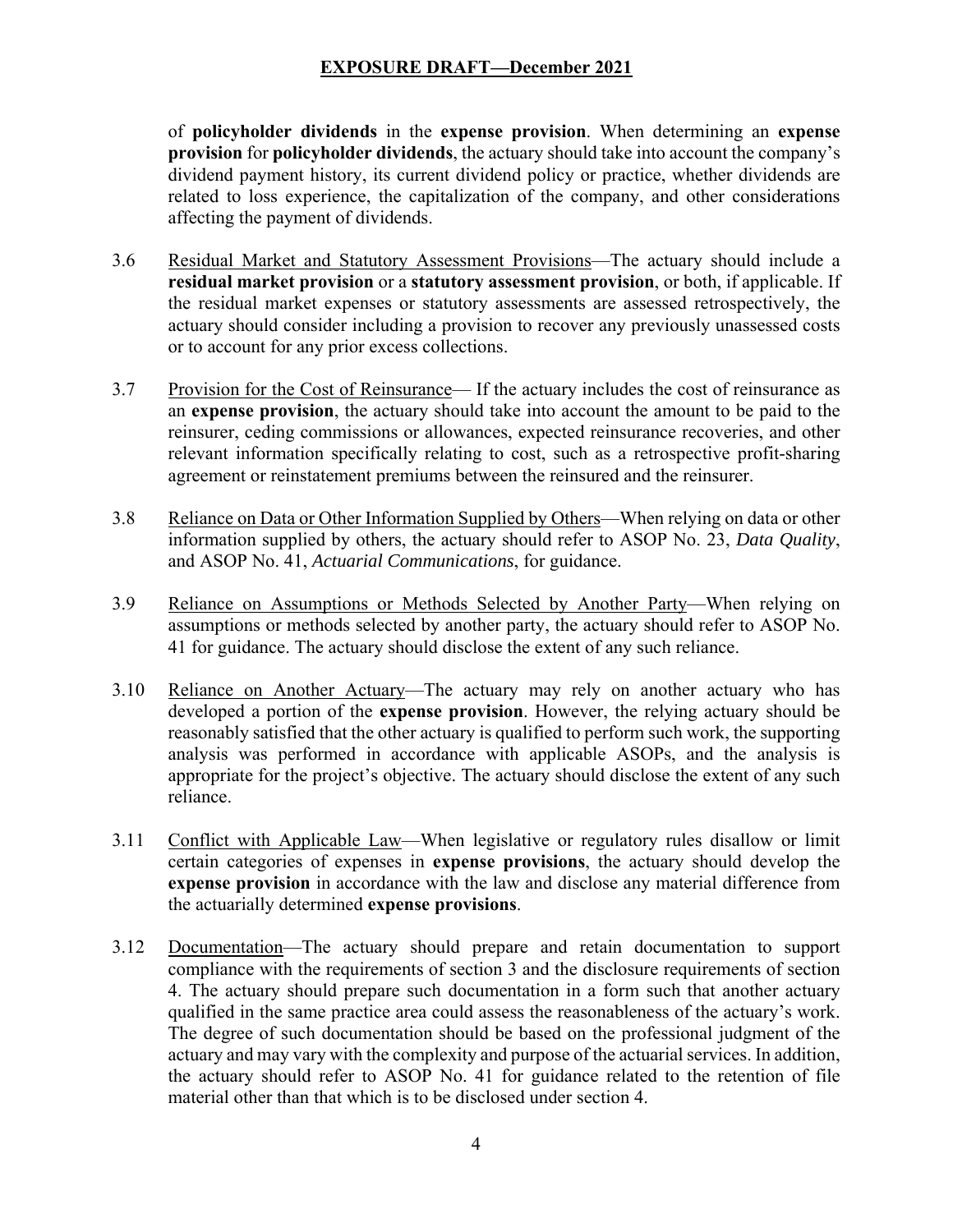of **policyholder dividends** in the **expense provision**. When determining an **expense provision** for **policyholder dividends**, the actuary should take into account the company's dividend payment history, its current dividend policy or practice, whether dividends are related to loss experience, the capitalization of the company, and other considerations affecting the payment of dividends.

- 3.6 Residual Market and Statutory Assessment Provisions—The actuary should include a **residual market provision** or a **statutory assessment provision**, or both, if applicable. If the residual market expenses or statutory assessments are assessed retrospectively, the actuary should consider including a provision to recover any previously unassessed costs or to account for any prior excess collections.
- 3.7 Provision for the Cost of Reinsurance— If the actuary includes the cost of reinsurance as an **expense provision**, the actuary should take into account the amount to be paid to the reinsurer, ceding commissions or allowances, expected reinsurance recoveries, and other relevant information specifically relating to cost, such as a retrospective profit-sharing agreement or reinstatement premiums between the reinsured and the reinsurer.
- 3.8 Reliance on Data or Other Information Supplied by Others—When relying on data or other information supplied by others, the actuary should refer to ASOP No. 23, *Data Quality*, and ASOP No. 41, *Actuarial Communications*, for guidance.
- 3.9 Reliance on Assumptions or Methods Selected by Another Party—When relying on assumptions or methods selected by another party, the actuary should refer to ASOP No. 41 for guidance. The actuary should disclose the extent of any such reliance.
- 3.10 Reliance on Another Actuary—The actuary may rely on another actuary who has developed a portion of the **expense provision**. However, the relying actuary should be reasonably satisfied that the other actuary is qualified to perform such work, the supporting analysis was performed in accordance with applicable ASOPs, and the analysis is appropriate for the project's objective. The actuary should disclose the extent of any such reliance.
- 3.11 Conflict with Applicable Law—When legislative or regulatory rules disallow or limit certain categories of expenses in **expense provisions**, the actuary should develop the **expense provision** in accordance with the law and disclose any material difference from the actuarially determined **expense provisions**.
- 3.12 Documentation—The actuary should prepare and retain documentation to support compliance with the requirements of section 3 and the disclosure requirements of section 4. The actuary should prepare such documentation in a form such that another actuary qualified in the same practice area could assess the reasonableness of the actuary's work. The degree of such documentation should be based on the professional judgment of the actuary and may vary with the complexity and purpose of the actuarial services. In addition, the actuary should refer to ASOP No. 41 for guidance related to the retention of file material other than that which is to be disclosed under section 4.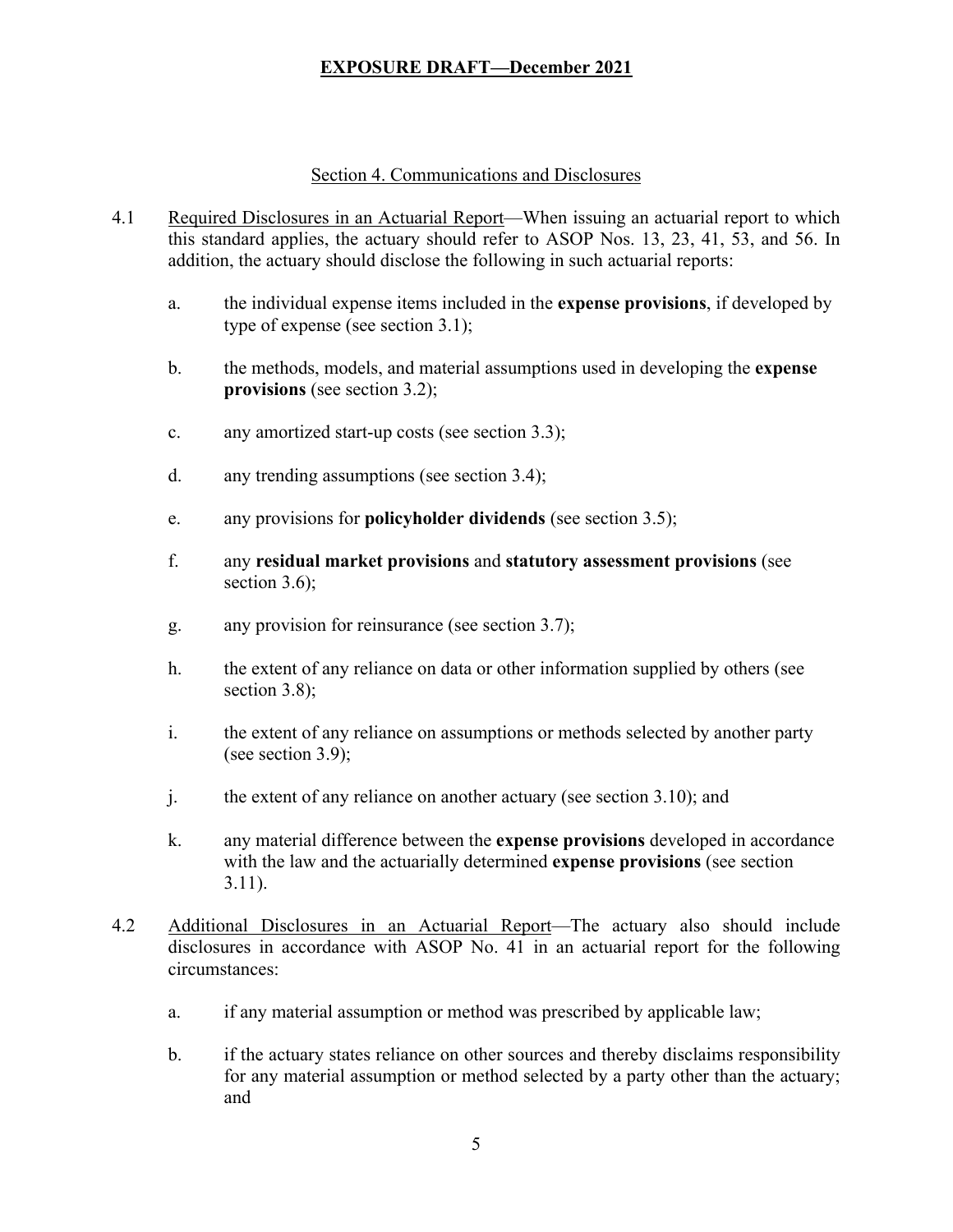### Section 4. Communications and Disclosures

- 4.1 Required Disclosures in an Actuarial Report—When issuing an actuarial report to which this standard applies, the actuary should refer to ASOP Nos. 13, 23, 41, 53, and 56. In addition, the actuary should disclose the following in such actuarial reports:
	- a. the individual expense items included in the **expense provisions**, if developed by type of expense (see section 3.1);
	- b. the methods, models, and material assumptions used in developing the **expense provisions** (see section 3.2);
	- c. any amortized start-up costs (see section 3.3);
	- d. any trending assumptions (see section 3.4);
	- e. any provisions for **policyholder dividends** (see section 3.5);
	- f. any **residual market provisions** and **statutory assessment provisions** (see section 3.6);
	- g. any provision for reinsurance (see section 3.7);
	- h. the extent of any reliance on data or other information supplied by others (see section 3.8);
	- i. the extent of any reliance on assumptions or methods selected by another party (see section 3.9);
	- j. the extent of any reliance on another actuary (see section 3.10); and
	- k. any material difference between the **expense provisions** developed in accordance with the law and the actuarially determined **expense provisions** (see section 3.11).
- 4.2 Additional Disclosures in an Actuarial Report—The actuary also should include disclosures in accordance with ASOP No. 41 in an actuarial report for the following circumstances:
	- a. if any material assumption or method was prescribed by applicable law;
	- b. if the actuary states reliance on other sources and thereby disclaims responsibility for any material assumption or method selected by a party other than the actuary; and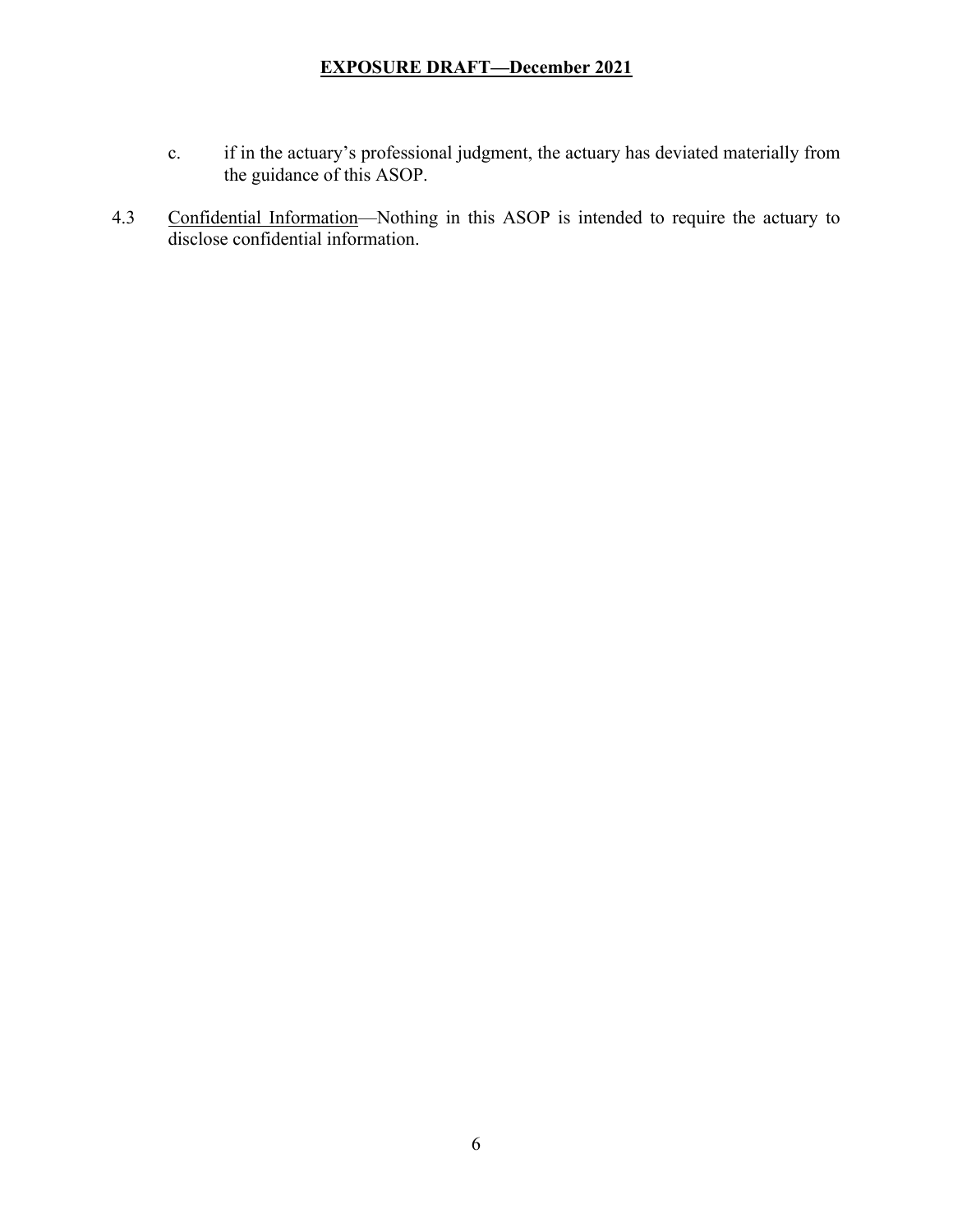- c. if in the actuary's professional judgment, the actuary has deviated materially from the guidance of this ASOP.
- 4.3 Confidential Information—Nothing in this ASOP is intended to require the actuary to disclose confidential information.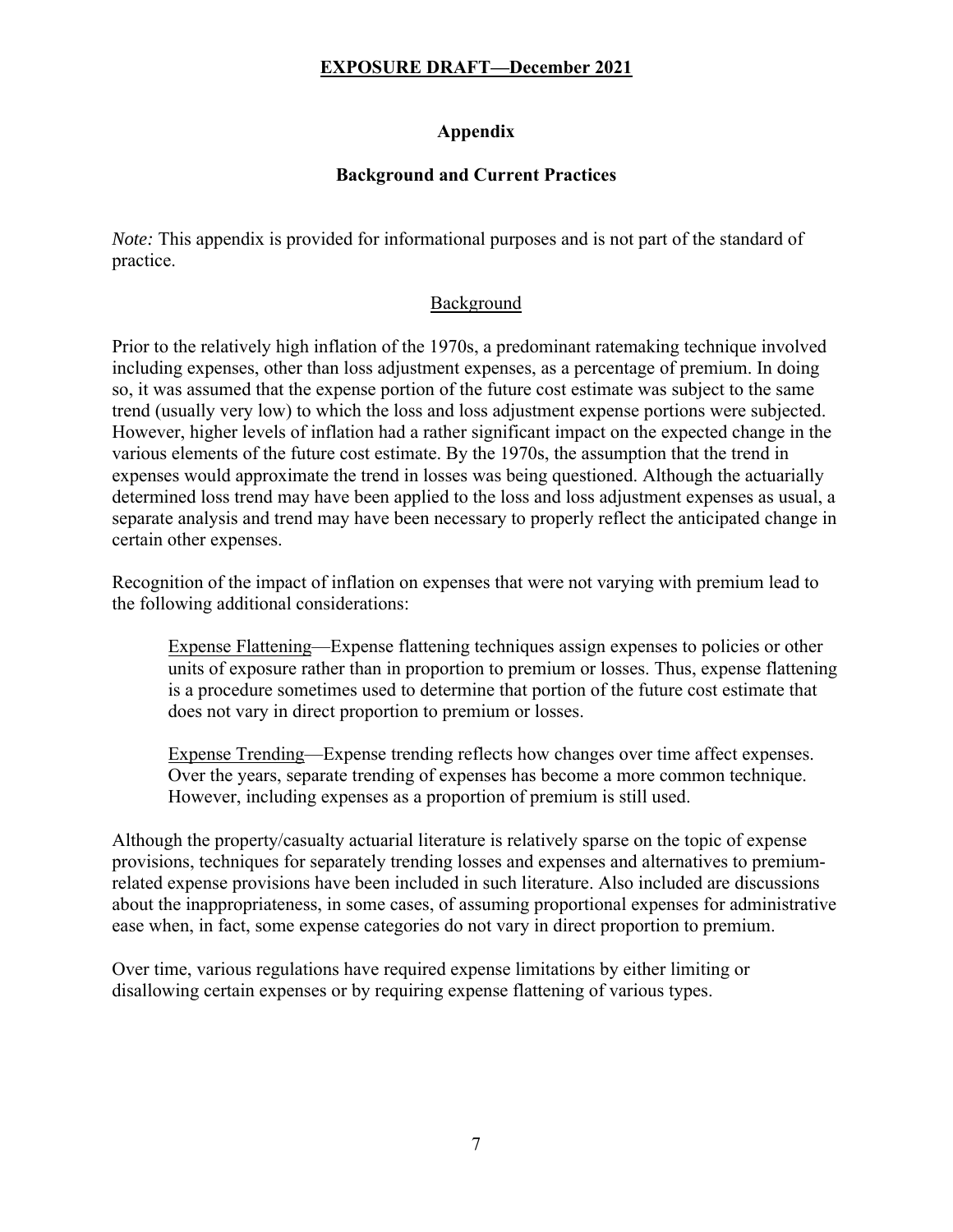# **Appendix**

### **Background and Current Practices**

*Note:* This appendix is provided for informational purposes and is not part of the standard of practice.

#### Background

Prior to the relatively high inflation of the 1970s, a predominant ratemaking technique involved including expenses, other than loss adjustment expenses, as a percentage of premium. In doing so, it was assumed that the expense portion of the future cost estimate was subject to the same trend (usually very low) to which the loss and loss adjustment expense portions were subjected. However, higher levels of inflation had a rather significant impact on the expected change in the various elements of the future cost estimate. By the 1970s, the assumption that the trend in expenses would approximate the trend in losses was being questioned. Although the actuarially determined loss trend may have been applied to the loss and loss adjustment expenses as usual, a separate analysis and trend may have been necessary to properly reflect the anticipated change in certain other expenses.

Recognition of the impact of inflation on expenses that were not varying with premium lead to the following additional considerations:

Expense Flattening—Expense flattening techniques assign expenses to policies or other units of exposure rather than in proportion to premium or losses. Thus, expense flattening is a procedure sometimes used to determine that portion of the future cost estimate that does not vary in direct proportion to premium or losses.

Expense Trending—Expense trending reflects how changes over time affect expenses. Over the years, separate trending of expenses has become a more common technique. However, including expenses as a proportion of premium is still used.

Although the property/casualty actuarial literature is relatively sparse on the topic of expense provisions, techniques for separately trending losses and expenses and alternatives to premiumrelated expense provisions have been included in such literature. Also included are discussions about the inappropriateness, in some cases, of assuming proportional expenses for administrative ease when, in fact, some expense categories do not vary in direct proportion to premium.

Over time, various regulations have required expense limitations by either limiting or disallowing certain expenses or by requiring expense flattening of various types.